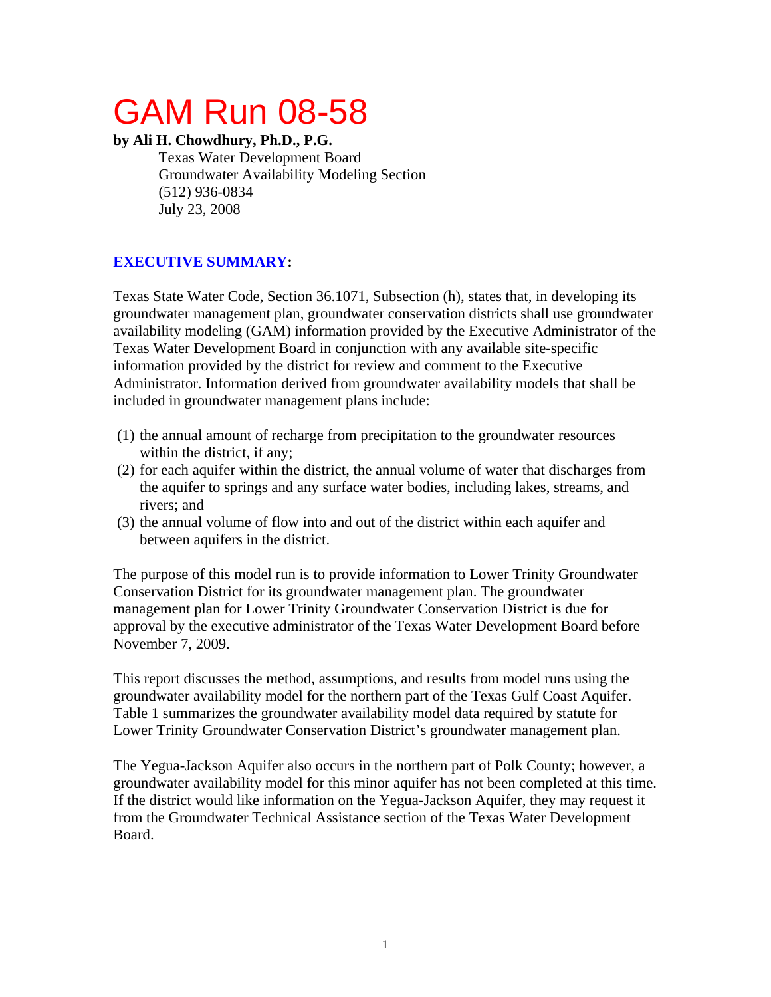# GAM Run 08-58

# **by Ali H. Chowdhury, Ph.D., P.G.**

Texas Water Development Board Groundwater Availability Modeling Section (512) 936-0834 July 23, 2008

# **EXECUTIVE SUMMARY:**

Texas State Water Code, Section 36.1071, Subsection (h), states that, in developing its groundwater management plan, groundwater conservation districts shall use groundwater availability modeling (GAM) information provided by the Executive Administrator of the Texas Water Development Board in conjunction with any available site-specific information provided by the district for review and comment to the Executive Administrator. Information derived from groundwater availability models that shall be included in groundwater management plans include:

- (1) the annual amount of recharge from precipitation to the groundwater resources within the district, if any;
- (2) for each aquifer within the district, the annual volume of water that discharges from the aquifer to springs and any surface water bodies, including lakes, streams, and rivers; and
- (3) the annual volume of flow into and out of the district within each aquifer and between aquifers in the district.

The purpose of this model run is to provide information to Lower Trinity Groundwater Conservation District for its groundwater management plan. The groundwater management plan for Lower Trinity Groundwater Conservation District is due for approval by the executive administrator of the Texas Water Development Board before November 7, 2009.

This report discusses the method, assumptions, and results from model runs using the groundwater availability model for the northern part of the Texas Gulf Coast Aquifer. Table 1 summarizes the groundwater availability model data required by statute for Lower Trinity Groundwater Conservation District's groundwater management plan.

The Yegua-Jackson Aquifer also occurs in the northern part of Polk County; however, a groundwater availability model for this minor aquifer has not been completed at this time. If the district would like information on the Yegua-Jackson Aquifer, they may request it from the Groundwater Technical Assistance section of the Texas Water Development Board.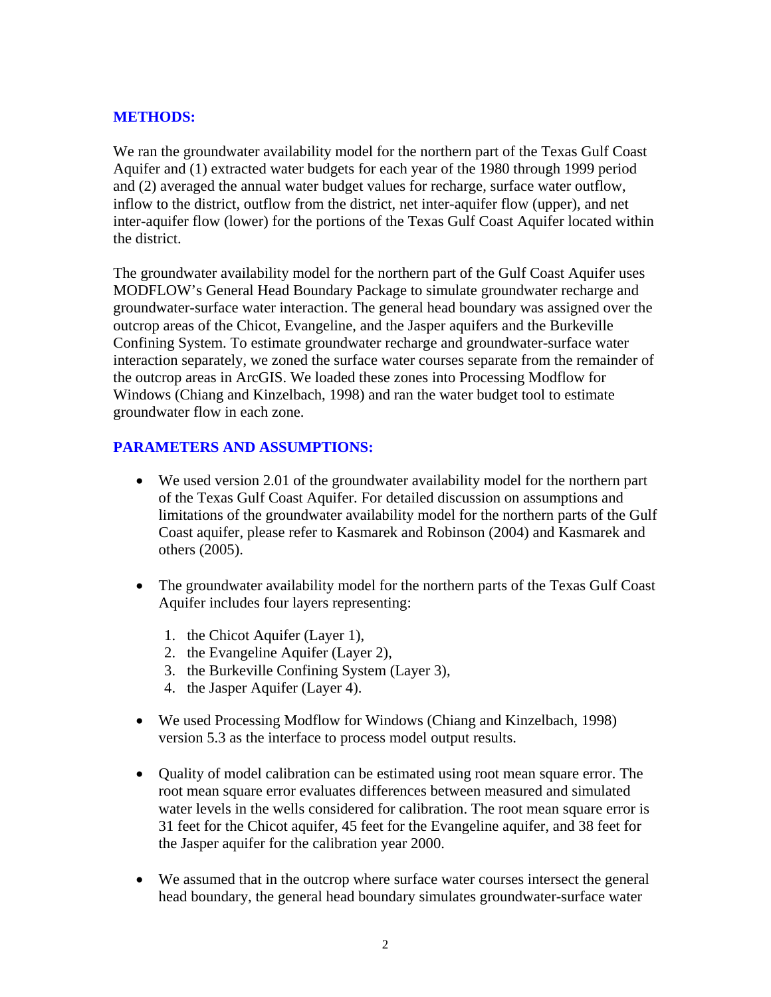### **METHODS:**

We ran the groundwater availability model for the northern part of the Texas Gulf Coast Aquifer and (1) extracted water budgets for each year of the 1980 through 1999 period and (2) averaged the annual water budget values for recharge, surface water outflow, inflow to the district, outflow from the district, net inter-aquifer flow (upper), and net inter-aquifer flow (lower) for the portions of the Texas Gulf Coast Aquifer located within the district.

The groundwater availability model for the northern part of the Gulf Coast Aquifer uses MODFLOW's General Head Boundary Package to simulate groundwater recharge and groundwater-surface water interaction. The general head boundary was assigned over the outcrop areas of the Chicot, Evangeline, and the Jasper aquifers and the Burkeville Confining System. To estimate groundwater recharge and groundwater-surface water interaction separately, we zoned the surface water courses separate from the remainder of the outcrop areas in ArcGIS. We loaded these zones into Processing Modflow for Windows (Chiang and Kinzelbach, 1998) and ran the water budget tool to estimate groundwater flow in each zone.

# **PARAMETERS AND ASSUMPTIONS:**

- We used version 2.01 of the groundwater availability model for the northern part of the Texas Gulf Coast Aquifer. For detailed discussion on assumptions and limitations of the groundwater availability model for the northern parts of the Gulf Coast aquifer, please refer to Kasmarek and Robinson (2004) and Kasmarek and others (2005).
- The groundwater availability model for the northern parts of the Texas Gulf Coast Aquifer includes four layers representing:
	- 1. the Chicot Aquifer (Layer 1),
	- 2. the Evangeline Aquifer (Layer 2),
	- 3. the Burkeville Confining System (Layer 3),
	- 4. the Jasper Aquifer (Layer 4).
- We used Processing Modflow for Windows (Chiang and Kinzelbach, 1998) version 5.3 as the interface to process model output results.
- Quality of model calibration can be estimated using root mean square error. The root mean square error evaluates differences between measured and simulated water levels in the wells considered for calibration. The root mean square error is 31 feet for the Chicot aquifer, 45 feet for the Evangeline aquifer, and 38 feet for the Jasper aquifer for the calibration year 2000.
- We assumed that in the outcrop where surface water courses intersect the general head boundary, the general head boundary simulates groundwater-surface water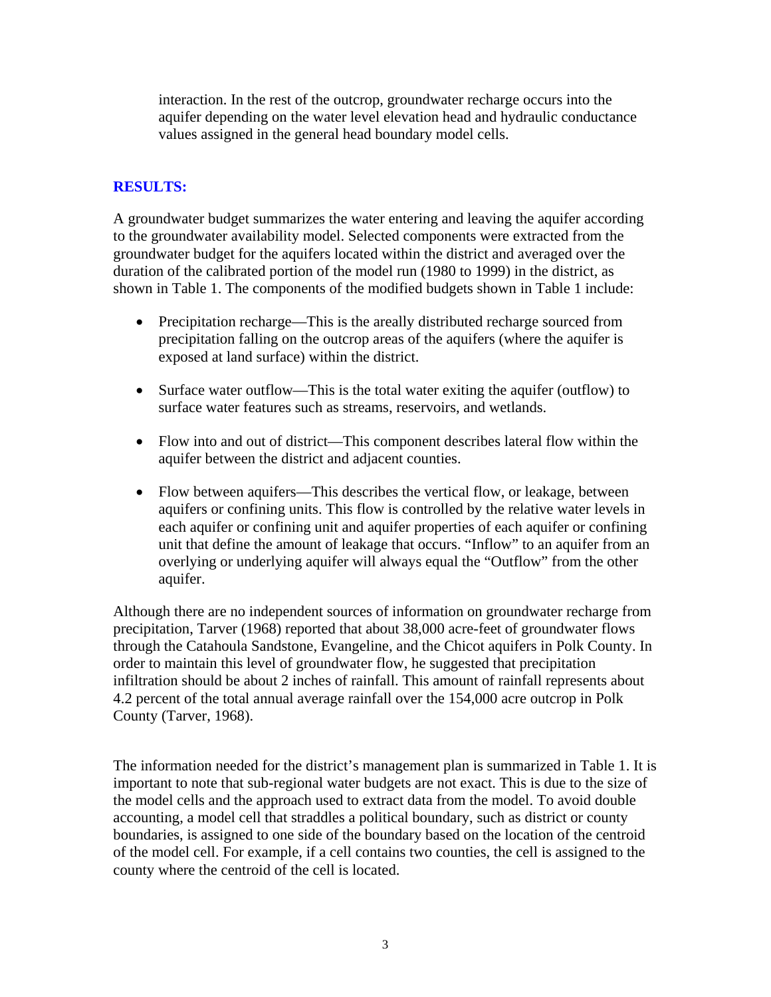interaction. In the rest of the outcrop, groundwater recharge occurs into the aquifer depending on the water level elevation head and hydraulic conductance values assigned in the general head boundary model cells.

# **RESULTS:**

A groundwater budget summarizes the water entering and leaving the aquifer according to the groundwater availability model. Selected components were extracted from the groundwater budget for the aquifers located within the district and averaged over the duration of the calibrated portion of the model run (1980 to 1999) in the district, as shown in Table 1. The components of the modified budgets shown in Table 1 include:

- Precipitation recharge—This is the areally distributed recharge sourced from precipitation falling on the outcrop areas of the aquifers (where the aquifer is exposed at land surface) within the district.
- Surface water outflow—This is the total water exiting the aquifer (outflow) to surface water features such as streams, reservoirs, and wetlands.
- Flow into and out of district—This component describes lateral flow within the aquifer between the district and adjacent counties.
- Flow between aquifers—This describes the vertical flow, or leakage, between aquifers or confining units. This flow is controlled by the relative water levels in each aquifer or confining unit and aquifer properties of each aquifer or confining unit that define the amount of leakage that occurs. "Inflow" to an aquifer from an overlying or underlying aquifer will always equal the "Outflow" from the other aquifer.

Although there are no independent sources of information on groundwater recharge from precipitation, Tarver (1968) reported that about 38,000 acre-feet of groundwater flows through the Catahoula Sandstone, Evangeline, and the Chicot aquifers in Polk County. In order to maintain this level of groundwater flow, he suggested that precipitation infiltration should be about 2 inches of rainfall. This amount of rainfall represents about 4.2 percent of the total annual average rainfall over the 154,000 acre outcrop in Polk County (Tarver, 1968).

The information needed for the district's management plan is summarized in Table 1. It is important to note that sub-regional water budgets are not exact. This is due to the size of the model cells and the approach used to extract data from the model. To avoid double accounting, a model cell that straddles a political boundary, such as district or county boundaries, is assigned to one side of the boundary based on the location of the centroid of the model cell. For example, if a cell contains two counties, the cell is assigned to the county where the centroid of the cell is located.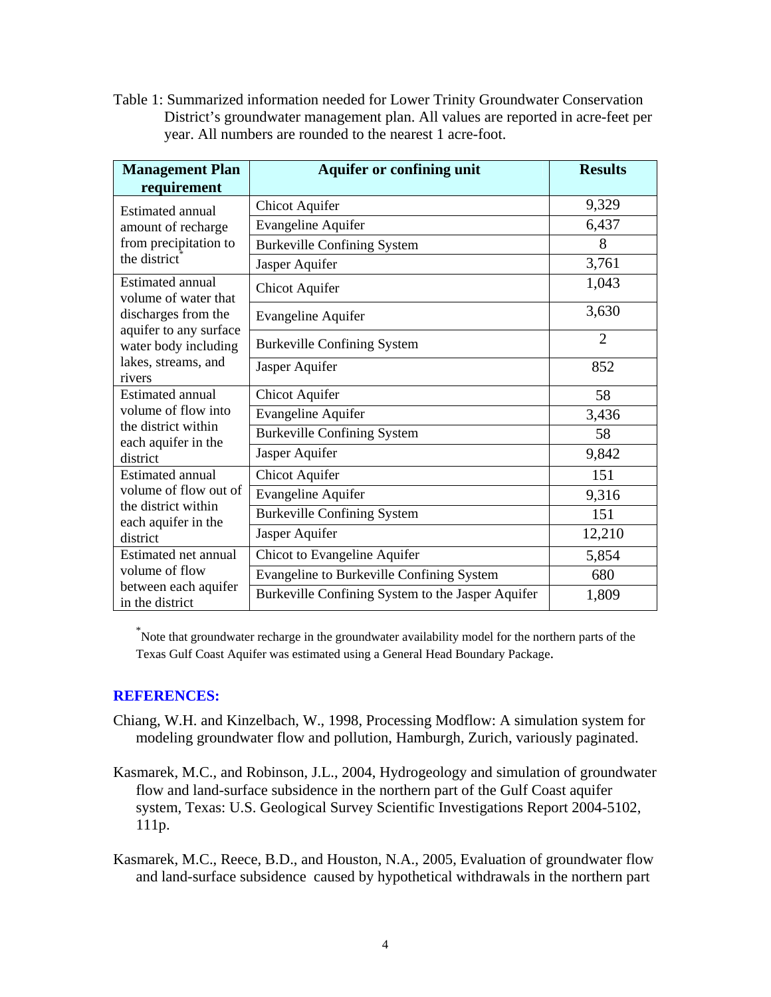Table 1: Summarized information needed for Lower Trinity Groundwater Conservation District's groundwater management plan. All values are reported in acre-feet per year. All numbers are rounded to the nearest 1 acre-foot.

| <b>Management Plan</b>                                                                                                                             | <b>Aquifer or confining unit</b>                  | <b>Results</b> |
|----------------------------------------------------------------------------------------------------------------------------------------------------|---------------------------------------------------|----------------|
| requirement                                                                                                                                        |                                                   |                |
| Estimated annual<br>amount of recharge<br>from precipitation to<br>the district                                                                    | <b>Chicot Aquifer</b>                             | 9,329          |
|                                                                                                                                                    | Evangeline Aquifer                                | 6,437          |
|                                                                                                                                                    | <b>Burkeville Confining System</b>                | 8              |
|                                                                                                                                                    | Jasper Aquifer                                    | 3,761          |
| Estimated annual<br>volume of water that<br>discharges from the<br>aquifer to any surface<br>water body including<br>lakes, streams, and<br>rivers | Chicot Aquifer                                    | 1,043          |
|                                                                                                                                                    | Evangeline Aquifer                                | 3,630          |
|                                                                                                                                                    | <b>Burkeville Confining System</b>                | $\overline{2}$ |
|                                                                                                                                                    | Jasper Aquifer                                    | 852            |
| Estimated annual<br>volume of flow into<br>the district within<br>each aquifer in the<br>district                                                  | <b>Chicot Aquifer</b>                             | 58             |
|                                                                                                                                                    | <b>Evangeline Aquifer</b>                         | 3,436          |
|                                                                                                                                                    | <b>Burkeville Confining System</b>                | 58             |
|                                                                                                                                                    | Jasper Aquifer                                    | 9,842          |
| Estimated annual<br>volume of flow out of<br>the district within<br>each aquifer in the<br>district                                                | <b>Chicot Aquifer</b>                             | 151            |
|                                                                                                                                                    | Evangeline Aquifer                                | 9,316          |
|                                                                                                                                                    | <b>Burkeville Confining System</b>                | 151            |
|                                                                                                                                                    | Jasper Aquifer                                    | 12,210         |
| Estimated net annual<br>volume of flow<br>between each aquifer<br>in the district                                                                  | Chicot to Evangeline Aquifer                      | 5,854          |
|                                                                                                                                                    | Evangeline to Burkeville Confining System         | 680            |
|                                                                                                                                                    | Burkeville Confining System to the Jasper Aquifer | 1,809          |

\* Note that groundwater recharge in the groundwater availability model for the northern parts of the Texas Gulf Coast Aquifer was estimated using a General Head Boundary Package.

#### **REFERENCES:**

- Chiang, W.H. and Kinzelbach, W., 1998, Processing Modflow: A simulation system for modeling groundwater flow and pollution, Hamburgh, Zurich, variously paginated.
- Kasmarek, M.C., and Robinson, J.L., 2004, Hydrogeology and simulation of groundwater flow and land-surface subsidence in the northern part of the Gulf Coast aquifer system, Texas: U.S. Geological Survey Scientific Investigations Report 2004-5102, 111p.

Kasmarek, M.C., Reece, B.D., and Houston, N.A., 2005, Evaluation of groundwater flow and land-surface subsidence caused by hypothetical withdrawals in the northern part